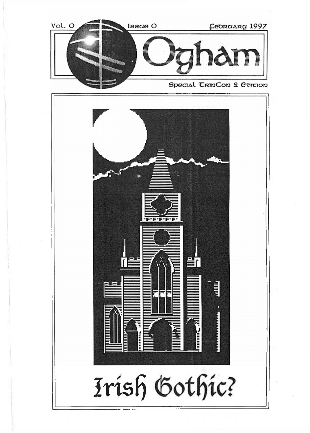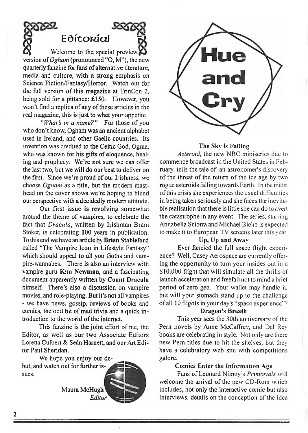

quarterly fanzine for fans of alternative literature, media and culture, with a strong emphasis on Science Fiction/Fantasy/Horror. Watch out for the full version of this magazine at TrinCon 2, being sold for a pittance: £150. However, you won't find a replica of any of these articles in the real magazine, this is just to whet your appetite.

*"What's in a name?"* For those of you who don't know, Ogham was an ancient alphabet used in Ireland, and other Gaelic countries. Its invention was credited to the Celtic God, Ogma. who was known for his gifts of eloquence, healing and prophecy. We're not sure we can offer the last two, but we will do our best to deliver on the first. Since we're proud of our Irishness, we choose *Ogham* as a title, but the modem masthead on the cover shows we're hoping to blend our perspective with a decidedly modem attitude.

Our first issue is revolving somewhat around the theme of vampires, to celebrate the fact that *Dracula,* written by Irishman Bram Stoker, is celebrating 100 years in publication. To this end we **have** an article by **Brian Stableford** called "The Vampire Icon in Lifestyle Fantasy" which should appeal to all you Goths and vampire-wannabes. There is also an interview with vampire gum **Kim Newman,** and a fascinating document apparently written by **Count Dracula** himself. There's also a discussion on vampire movies, and role-playing. But it's not all vampires - we have news, gossip, reviews of books and comics, the odd bit of mad trivia and a quick introduction to the world of the internet.

This fanzine is the joint effort of me, the Editor, as well as our two Associate Editors Loretta Culbert & Se&n Harnett, and our Art Editor Paul Sheridan.



*Editor*



#### **The Sky is Falling**

*Asteroid,* the new NBC miniseries due to commence broadcast in the United States in February, tells the tale of an astronomer's discovery of the threat of the return of the ice age by two rogue asteroids falling towards Earth. In the midst ofthis crisis she experiences the usual difficulties in being taken seriously and she faces the inevitable realisation that there is little she can do to avert the catastrophe in any event. The series, starring Annabella Sciorra and Michael Bichn is expected to make it to European TV screens later this year.

## **Up, Up and Away**

Ever fancied the full space Hight experience? Well, Casey Aerospace arc currently offering the opportunity to turn your insides out in a \$10,000 flight that will simulate all the thrills of launch acceleration and freefall not to mind a brief period of zero gee. Your wallet may handle it, but will your stomach stand up to the challenge ofall 10 flights in your day's "space experience"?

### **Dragon's Breath**

This year sees the 30th anniversary of the Pern novels by Anne McCaffrey, and Del Rey books are celebrating in style. Not only are there new Pern titles due to hit the shelves, but they have a celebratory web site with competitions galore.

#### **Comics Enter the Information Age**

Fans of Leonard Nimoy's *Primortals* will welcome the arrival of the new CD-Rom which includes, not only the interactive comic but also interviews, details on the conception of the idea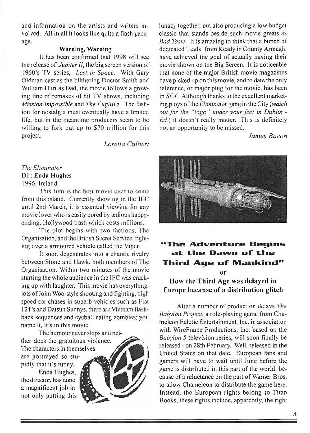and information on the artists and writers involved. All in all it looks like quite a flash package.

## **Warning, Warning**

It has been confirmed that 1998 will sec the release of *JupiterII,* the big screen version of 1960's TV series, *Lost in Space.* With Gary Oldman cast as the blithering Doctor Smith and William Hurt as Dad, the movie follows a growing line of remakes of hit TV shows, including *Mission Impossible* and *The Fugitive.* The fashion for nostalgia must eventually have a limited life, but in the meantime producers seem to be willing to fork out up to \$70 million for this project.

*Loretta Culbert*

## *The Eliminator* Dir: **Enda Hughes** 1996, Ireland

This film is the best movie ever to come from this island. Currently showing in the IFC until 2nd March, it is essential viewing for any movie lover who is easily bored by tedious happyending, Hollywood trash which costs millions.

The plot begins with two factions, The Organisation, and the British Secret Service, fighting over a armoured vehicle called the Viper.

It soon degenerates into a chaotic rivalry between Stone and Hawk, both members of The Organisation. Within two minutes of the movie starting the whole audience in the IFC was cracking up with laughter. This movie has everything, lots of John Woo-style shooting and fighting, high speed car chases in superb vehicles such as Fiat 121 's and Datsun Sunnys, there are Vietnam flashback sequences and eyeball eating zombies; you name it, it's in this movie.

The humour never stops and neither does the gratuitous violence. The characters in themselves are portrayed so stupidly that it's funny.

Enda Hughes, the director, has done a magnificent job in not only putting this



lunacy together, but also producing a low budget classic that stands beside such movie greats as *Bad Taste.* It is amazing to think that a bunch of dedicated 'Lads' from Keady in County Armagh, have achieved the goal of actually having their movie shown on the Big Screen. It is noticeable that none of the major British movie magazines have picked up on this movie, and to date the only reference, or major plug for the movie, has been in *SFX.* Although thanks to the excellent marketing ploys ofthe *Eliminator* gang in the City *(watch out for the "logo " under yourfeet in Dublin - Ed.)* it doesn't really matter. This is definitely not an opportunity to be missed.

*James Bacon*



# **"The Adventure Begins at -the Dawn uf title Third Age of IVIanKind"**

or

How the Third Age was delayed in Europe because of a distribution glitch

After a number of production delays *The Babylon Project,* a role-playing game from Chameleon Ecletic Entertainment, Inc. in association with WireFrame Productions, Inc. based on the *Babylon 5* television series, will soon finally be released - on 28th February. Well, released in the United States on that date. European fans and gamers will have to wait until June before the game is distributed in this part of the world, because of a reluctance on the part of Warner Bros. to allow Chameleon to distribute the game here. Instead, the European rights belong to Titan Books; these rights include, apparently, the right